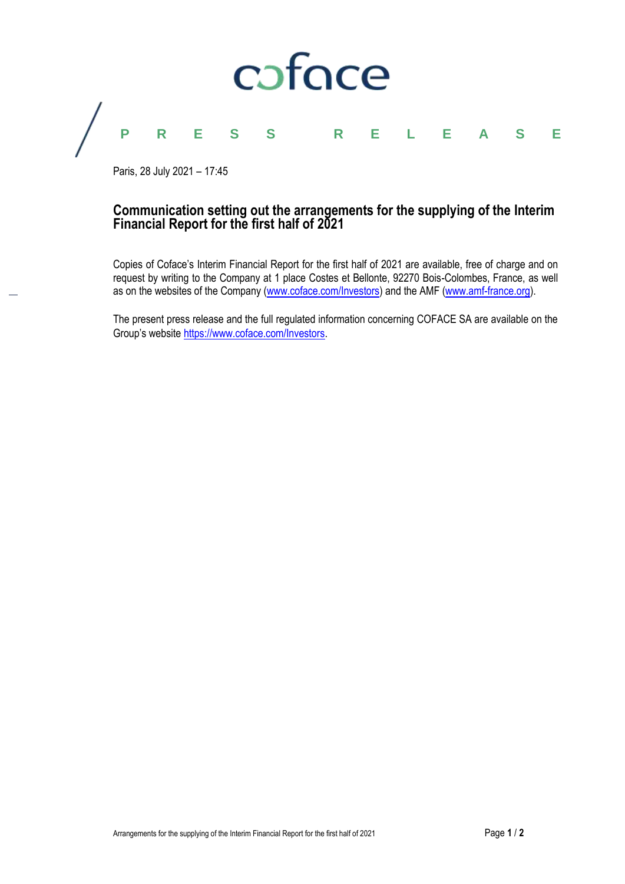

Paris, 28 July 2021 – 17:45

# **Communication setting out the arrangements for the supplying of the Interim Financial Report for the first half of 2021**

Copies of Coface's Interim Financial Report for the first half of 2021 are available, free of charge and on request by writing to the Company at 1 place Costes et Bellonte, 92270 Bois-Colombes, France, as well as on the websites of the Company [\(www.coface.com/Investors\)](http://www.coface.com/Investors) and the AMF [\(www.amf-france.org\)](http://www.amf-france.org/).

The present press release and the full regulated information concerning COFACE SA are available on the Group's website [https://www.coface.com/Investors.](https://www.coface.com/Investors)